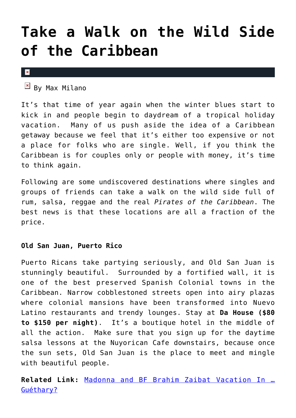### **[Take a Walk on the Wild Side](https://cupidspulse.com/22008/vacation-pirates-of-the-caribbean-getaway/) [of the Caribbean](https://cupidspulse.com/22008/vacation-pirates-of-the-caribbean-getaway/)**

 $\pmb{\times}$ 

 $\overline{B}$  By Max Milano

It's that time of year again when the winter blues start to kick in and people begin to daydream of a tropical holiday vacation. Many of us push aside the idea of a Caribbean getaway because we feel that it's either too expensive or not a place for folks who are single. Well, if you think the Caribbean is for couples only or people with money, it's time to think again.

Following are some undiscovered destinations where singles and groups of friends can take a walk on the wild side full of rum, salsa, reggae and the real *Pirates of the Caribbean*. The best news is that these locations are all a fraction of the price.

#### **Old San Juan, Puerto Rico**

Puerto Ricans take partying seriously, and Old San Juan is stunningly beautiful. Surrounded by a fortified wall, it is one of the best preserved Spanish Colonial towns in the Caribbean. Narrow cobblestoned streets open into airy plazas where colonial mansions have been transformed into Nuevo Latino restaurants and trendy lounges. Stay at **Da House (\$80 to \$150 per night)**. It's a boutique hotel in the middle of all the action. Make sure that you sign up for the daytime salsa lessons at the Nuyorican Cafe downstairs, because once the sun sets, Old San Juan is the place to meet and mingle with beautiful people.

**Related Link:** [Madonna and BF Brahim Zaibat Vacation In …](http://cupidspulse.com/madonna-boyfriend-brahim-zaibat-vacation-guethary/) [Guéthary?](http://cupidspulse.com/madonna-boyfriend-brahim-zaibat-vacation-guethary/)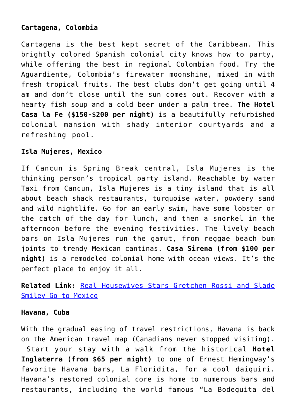#### **Cartagena, Colombia**

Cartagena is the best kept secret of the Caribbean. This brightly colored Spanish colonial city knows how to party, while offering the best in regional Colombian food. Try the Aguardiente, Colombia's firewater moonshine, mixed in with fresh tropical fruits. The best clubs don't get going until 4 am and don't close until the sun comes out. Recover with a hearty fish soup and a cold beer under a palm tree. **The Hotel Casa la Fe (\$150-\$200 per night)** is a beautifully refurbished colonial mansion with shady interior courtyards and a refreshing pool.

#### **Isla Mujeres, Mexico**

If Cancun is Spring Break central, Isla Mujeres is the thinking person's tropical party island. Reachable by water Taxi from Cancun, Isla Mujeres is a tiny island that is all about beach shack restaurants, turquoise water, powdery sand and wild nightlife. Go for an early swim, have some lobster or the catch of the day for lunch, and then a snorkel in the afternoon before the evening festivities. The lively beach bars on Isla Mujeres run the gamut, from reggae beach bum joints to trendy Mexican cantinas. **Casa Sirena (from \$100 per night)** is a remodeled colonial home with ocean views. It's the perfect place to enjoy it all.

**Related Link:** [Real Housewives Stars Gretchen Rossi and Slade](http://cupidspulse.com/real-housewives-of-orange-county-stars-gretchen-rossi-slade-smiley-mexico-vacation-getaway/) [Smiley Go to Mexico](http://cupidspulse.com/real-housewives-of-orange-county-stars-gretchen-rossi-slade-smiley-mexico-vacation-getaway/)

#### **Havana, Cuba**

With the gradual easing of travel restrictions, Havana is back on the American travel map (Canadians never stopped visiting). Start your stay with a walk from the historical **Hotel Inglaterra (from \$65 per night)** to one of Ernest Hemingway's favorite Havana bars, La Floridita, for a cool daiquiri. Havana's restored colonial core is home to numerous bars and restaurants, including the world famous "La Bodeguita del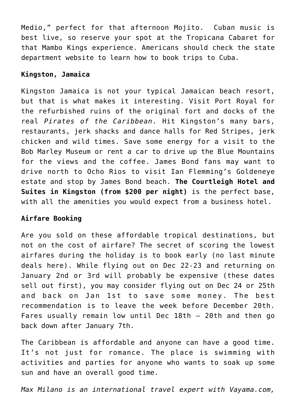Medio," perfect for that afternoon Mojito. Cuban music is best live, so reserve your spot at the Tropicana Cabaret for that Mambo Kings experience. Americans should check the state department website to learn how to book trips to Cuba.

#### **Kingston, Jamaica**

Kingston Jamaica is not your typical Jamaican beach resort, but that is what makes it interesting. Visit Port Royal for the refurbished ruins of the original fort and docks of the real *Pirates of the Caribbean*. Hit Kingston's many bars, restaurants, jerk shacks and dance halls for Red Stripes, jerk chicken and wild times. Save some energy for a visit to the Bob Marley Museum or rent a car to drive up the Blue Mountains for the views and the coffee. James Bond fans may want to drive north to Ocho Rios to visit Ian Flemming's Goldeneye estate and stop by James Bond beach. **The Courtleigh Hotel and Suites in Kingston (from \$200 per night)** is the perfect base, with all the amenities you would expect from a business hotel.

#### **Airfare Booking**

Are you sold on these affordable tropical destinations, but not on the cost of airfare? The secret of scoring the lowest airfares during the holiday is to book early (no last minute deals here). While flying out on Dec 22-23 and returning on January 2nd or 3rd will probably be expensive (these dates sell out first), you may consider flying out on Dec 24 or 25th and back on Jan 1st to save some money. The best recommendation is to leave the week before December 20th. Fares usually remain low until Dec 18th – 20th and then go back down after January 7th.

The Caribbean is affordable and anyone can have a good time. It's not just for romance. The place is swimming with activities and parties for anyone who wants to soak up some sun and have an overall good time.

*Max Milano is an international travel expert with Vayama.com,*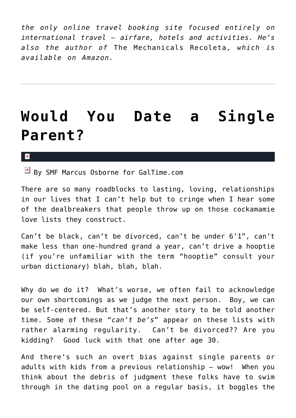*the only online travel booking site focused entirely on international travel — airfare, hotels and activities. He's also the author of* The Mechanicals Recoleta, *which is available on Amazon.*

### **[Would You Date a Single](https://cupidspulse.com/20808/would-you-date-single-parent-divorce-single-mom-single-dad-galtime/) [Parent?](https://cupidspulse.com/20808/would-you-date-single-parent-divorce-single-mom-single-dad-galtime/)**

#### $\mathbf{x}$

 $\boxed{\times}$  By SMF Marcus Osborne for GalTime.com

There are so many roadblocks to lasting, loving, relationships in our lives that I can't help but to cringe when I hear some of the dealbreakers that people throw up on those cockamamie love lists they construct.

Can't be black, can't be divorced, can't be under 6'1", can't make less than one-hundred grand a year, can't drive a hooptie (if you're unfamiliar with the term "hooptie" consult your urban dictionary) blah, blah, blah.

Why do we do it? What's worse, we often fail to acknowledge our own shortcomings as we judge the next person. Boy, we can be self-centered. But that's another story to be told another time. Some of these "*can't be's*" appear on these lists with rather alarming regularity. Can't be divorced?? Are you kidding? Good luck with that one after age 30.

And there's such an overt bias against single parents or adults with kids from a previous relationship — wow! When you think about the debris of judgment these folks have to swim through in the dating pool on a regular basis, it boggles the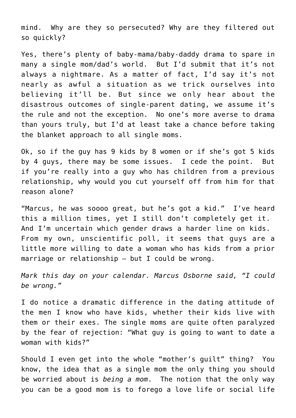mind. Why are they so persecuted? Why are they filtered out so quickly?

Yes, there's plenty of baby-mama/baby-daddy drama to spare in many a single mom/dad's world. But I'd submit that it's not always a nightmare. As a matter of fact, I'd say it's not nearly as awful a situation as we trick ourselves into believing it'll be. But since we only hear about the disastrous outcomes of single-parent dating, we assume it's the rule and not the exception. No one's more averse to drama than yours truly, but I'd at least take a chance before taking the blanket approach to all single moms.

Ok, so if the guy has 9 kids by 8 women or if she's got 5 kids by 4 guys, there may be some issues. I cede the point. But if you're really into a guy who has children from a previous relationship, why would you cut yourself off from him for that reason alone?

"Marcus, he was soooo great, but he's got a kid." I've heard this a million times, yet I still don't completely get it. And I'm uncertain which gender draws a harder line on kids. From my own, unscientific poll, it seems that guys are a little more willing to date a woman who has kids from a prior marriage or relationship — but I could be wrong.

*Mark this day on your calendar. Marcus Osborne said, "I could be wrong."*

I do notice a dramatic difference in the dating attitude of the men I know who have kids, whether their kids live with them or their exes. The single moms are quite often paralyzed by the fear of rejection: "What guy is going to want to date a woman with kids?"

Should I even get into the whole "mother's guilt" thing? You know, the idea that as a single mom the only thing you should be worried about is *being a mom*. The notion that the only way you can be a good mom is to forego a love life or social life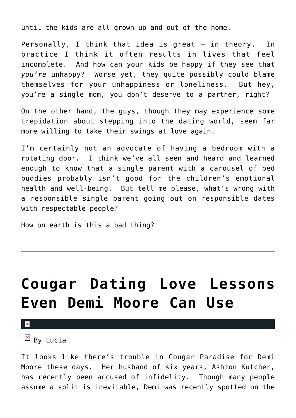until the kids are all grown up and out of the home.

Personally, I think that idea is great — in theory. In practice I think it often results in lives that feel incomplete. And how can your kids be happy if they see that *you're* unhappy? Worse yet, they quite possibly could blame themselves for your unhappiness or loneliness. But hey, you're a single mom, you don't deserve to a partner, right?

On the other hand, the guys, though they may experience some trepidation about stepping into the dating world, seem far more willing to take their swings at love again.

I'm certainly not an advocate of having a bedroom with a rotating door. I think we've all seen and heard and learned enough to know that a single parent with a carousel of bed buddies probably isn't good for the children's emotional health and well-being. But tell me please, what's wrong with a responsible single parent going out on responsible dates with respectable people?

How on earth is this a bad thing?

# **[Cougar Dating Love Lessons](https://cupidspulse.com/21894/cougar-dating-love-lessons-demi-moore-can-use-ashton-kutcher-lucia-dating-expert/) [Even Demi Moore Can Use](https://cupidspulse.com/21894/cougar-dating-love-lessons-demi-moore-can-use-ashton-kutcher-lucia-dating-expert/)**

×

 $\overline{B}$  By Lucia

It looks like there's trouble in Cougar Paradise for Demi Moore these days. Her husband of six years, Ashton Kutcher, has recently been accused of infidelity. Though many people assume a split is inevitable, Demi was recently spotted on the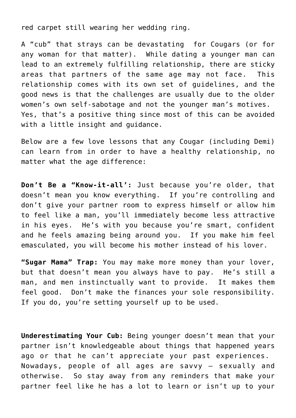red carpet still wearing her wedding ring.

A "cub" that strays can be devastating for Cougars (or for any woman for that matter). While dating a younger man can lead to an extremely fulfilling relationship, there are sticky areas that partners of the same age may not face. This relationship comes with its own set of guidelines, and the good news is that the challenges are usually due to the older women's own self-sabotage and not the younger man's motives. Yes, that's a positive thing since most of this can be avoided with a little insight and guidance.

Below are a few love lessons that any Cougar (including Demi) can learn from in order to have a healthy relationship, no matter what the age difference:

**Don't Be a "Know-it-all':** Just because you're older, that doesn't mean you know everything. If you're controlling and don't give your partner room to express himself or allow him to feel like a man, you'll immediately become less attractive in his eyes. He's with you because you're smart, confident and he feels amazing being around you. If you make him feel emasculated, you will become his mother instead of his lover.

**"Sugar Mama" Trap:** You may make more money than your lover, but that doesn't mean you always have to pay. He's still a man, and men instinctually want to provide. It makes them feel good. Don't make the finances your sole responsibility. If you do, you're setting yourself up to be used.

**Underestimating Your Cub:** Being younger doesn't mean that your partner isn't knowledgeable about things that happened years ago or that he can't appreciate your past experiences. Nowadays, people of all ages are savvy — sexually and otherwise. So stay away from any reminders that make your partner feel like he has a lot to learn or isn't up to your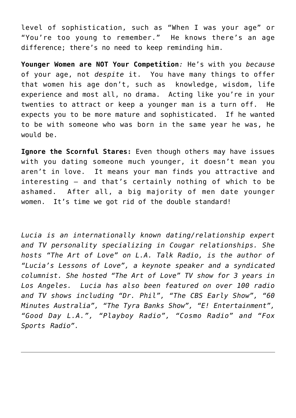level of sophistication, such as "When I was your age" or "You're too young to remember." He knows there's an age difference; there's no need to keep reminding him.

**Younger Women are NOT Your Competition***:* He's with you *because* of your age, not *despite* it. You have many things to offer that women his age don't, such as knowledge, wisdom, life experience and most all, no drama. Acting like you're in your twenties to attract or keep a younger man is a turn off. He expects you to be more mature and sophisticated. If he wanted to be with someone who was born in the same year he was, he would be.

**Ignore the Scornful Stares:** Even though others may have issues with you dating someone much younger, it doesn't mean you aren't in love. It means your man finds you attractive and interesting — and that's certainly nothing of which to be ashamed. After all, a big majority of men date younger women. It's time we got rid of the double standard!

*Lucia is an internationally known dating/relationship expert and TV personality specializing in Cougar relationships. She hosts "The Art of Love" on L.A. Talk Radio, is the author of "Lucia's Lessons of Love", a keynote speaker and a syndicated columnist. She hosted "The Art of Love" TV show for 3 years in Los Angeles. Lucia has also been featured on over 100 radio and TV shows including "Dr. Phil", "The CBS Early Show", "60 Minutes Australia", "The Tyra Banks Show", "E! Entertainment", "Good Day L.A.", "Playboy Radio", "Cosmo Radio" and "Fox Sports Radio".*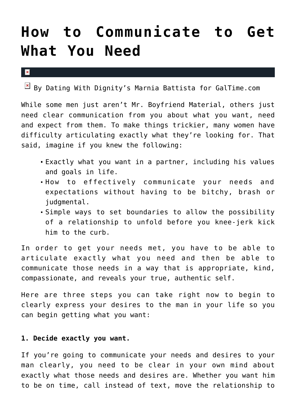### **[How to Communicate to Get](https://cupidspulse.com/21753/how-to-communicate-get-need-galtime-communication-boundaries/) [What You Need](https://cupidspulse.com/21753/how-to-communicate-get-need-galtime-communication-boundaries/)**

 $\mathbf x$ 

 $\boxed{\times}$  By Dating With Dignity's Marnia Battista for GalTime.com

While some men just aren't Mr. Boyfriend Material, others just need clear communication from you about what you want, need and expect from them. To make things trickier, many women have difficulty articulating exactly what they're looking for. That said, imagine if you knew the following:

- Exactly what you want in a partner, including his values and goals in life.
- How to effectively communicate your needs and expectations without having to be bitchy, brash or judgmental.
- Simple ways to set boundaries to allow the possibility of a relationship to unfold before you knee-jerk kick him to the curb.

In order to get your needs met, you have to be able to articulate exactly what you need and then be able to communicate those needs in a way that is appropriate, kind, compassionate, and reveals your true, authentic self.

Here are three steps you can take right now to begin to clearly express your desires to the man in your life so you can begin getting what you want:

#### **1. Decide exactly you want.**

If you're going to communicate your needs and desires to your man clearly, you need to be clear in your own mind about exactly what those needs and desires are. Whether you want him to be on time, call instead of text, move the relationship to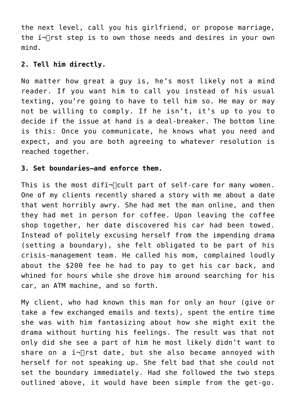the next level, call you his girlfriend, or propose marriage, the  $i\neg$  rst step is to own those needs and desires in your own mind.

#### **2. Tell him directly.**

No matter how great a guy is, he's most likely not a mind reader. If you want him to call you instead of his usual texting, you're going to have to tell him so. He may or may not be willing to comply. If he isn't, it's up to you to decide if the issue at hand is a deal-breaker. The bottom line is this: Once you communicate, he knows what you need and expect, and you are both agreeing to whatever resolution is reached together.

#### **3. Set boundaries–and enforce them.**

This is the most difi- $\Box$ cult part of self-care for many women. One of my clients recently shared a story with me about a date that went horribly awry. She had met the man online, and then they had met in person for coffee. Upon leaving the coffee shop together, her date discovered his car had been towed. Instead of politely excusing herself from the impending drama (setting a boundary), she felt obligated to be part of his crisis-management team. He called his mom, complained loudly about the \$200 fee he had to pay to get his car back, and whined for hours while she drove him around searching for his car, an ATM machine, and so forth.

My client, who had known this man for only an hour (give or take a few exchanged emails and texts), spent the entire time she was with him fantasizing about how she might exit the drama without hurting his feelings. The result was that not only did she see a part of him he most likely didn't want to share on a  $i\overline{ }$ rst date, but she also became annoyed with herself for not speaking up. She felt bad that she could not set the boundary immediately. Had she followed the two steps outlined above, it would have been simple from the get-go.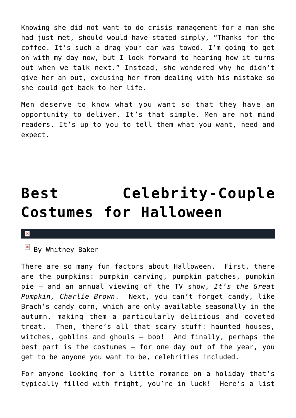Knowing she did not want to do crisis management for a man she had just met, should would have stated simply, "Thanks for the coffee. It's such a drag your car was towed. I'm going to get on with my day now, but I look forward to hearing how it turns out when we talk next." Instead, she wondered why he didn't give her an out, excusing her from dealing with his mistake so she could get back to her life.

Men deserve to know what you want so that they have an opportunity to deliver. It's that simple. Men are not mind readers. It's up to you to tell them what you want, need and expect.

## **[Best Celebrity-Couple](https://cupidspulse.com/17997/best-celebrity-couple-costumes-halloween/) [Costumes for Halloween](https://cupidspulse.com/17997/best-celebrity-couple-costumes-halloween/)**

#### $\pmb{\times}$

 $\mathbb{E}$  By Whitney Baker

There are so many fun factors about Halloween. First, there are the pumpkins: pumpkin carving, pumpkin patches, pumpkin pie — and an annual viewing of the TV show, *It's the Great Pumpkin, Charlie Brown*. Next, you can't forget candy, like Brach's candy corn, which are only available seasonally in the autumn, making them a particularly delicious and coveted treat. Then, there's all that scary stuff: haunted houses, witches, goblins and ghouls — boo! And finally, perhaps the best part is the costumes – for one day out of the year, you get to be anyone you want to be, celebrities included.

For anyone looking for a little romance on a holiday that's typically filled with fright, you're in luck! Here's a list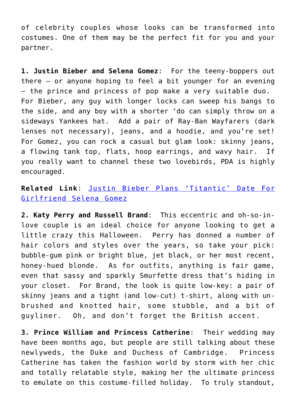of celebrity couples whose looks can be transformed into costumes. One of them may be the perfect fit for you and your partner.

**1. Justin Bieber and Selena Gomez**: For the teeny-boppers out there — or anyone hoping to feel a bit younger for an evening — the prince and princess of pop make a very suitable duo. For Bieber, any guy with longer locks can sweep his bangs to the side, and any boy with a shorter 'do can simply throw on a sideways Yankees hat. Add a pair of Ray-Ban Wayfarers (dark lenses not necessary), jeans, and a hoodie, and you're set! For Gomez, you can rock a casual but glam look: skinny jeans, a flowing tank top, flats, hoop earrings, and wavy hair. If you really want to channel these two lovebirds, PDA is highly encouraged.

### **Related Link**: [Justin Bieber Plans 'Titantic' Date For](http://cupidspulse.com/justin-bieber-plans-titanic-date-girlfriend-selena-gomez-romance/) [Girlfriend Selena Gomez](http://cupidspulse.com/justin-bieber-plans-titanic-date-girlfriend-selena-gomez-romance/)

**2. Katy Perry and Russell Brand**: This eccentric and oh-so-inlove couple is an ideal choice for anyone looking to get a little crazy this Halloween. Perry has donned a number of hair colors and styles over the years, so take your pick: bubble-gum pink or bright blue, jet black, or her most recent, honey-hued blonde. As for outfits, anything is fair game, even that sassy and sparkly Smurfette dress that's hiding in your closet. For Brand, the look is quite low-key: a pair of skinny jeans and a tight (and low-cut) t-shirt, along with unbrushed and knotted hair, some stubble, and a bit of guyliner. Oh, and don't forget the British accent.

**3. Prince William and Princess Catherine**: Their wedding may have been months ago, but people are still talking about these newlyweds, the Duke and Duchess of Cambridge. Princess Catherine has taken the fashion world by storm with her chic and totally relatable style, making her the ultimate princess to emulate on this costume-filled holiday. To truly standout,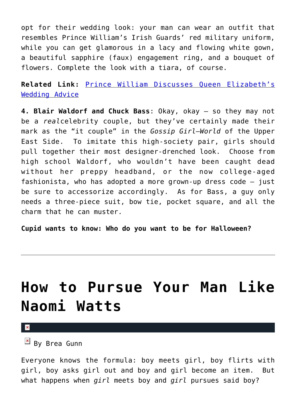opt for their wedding look: your man can wear an outfit that resembles Prince William's Irish Guards' red military uniform, while you can get glamorous in a lacy and flowing white gown, a beautiful sapphire (faux) engagement ring, and a bouquet of flowers. Complete the look with a tiara, of course.

**Related Link:** [Prince William Discusses Queen Elizabeth's](http://cupidspulse.com/prince-william-discusses-queen-elizabeths-wedding-advice-kate-middleton-princess-diana/) [Wedding Advice](http://cupidspulse.com/prince-william-discusses-queen-elizabeths-wedding-advice-kate-middleton-princess-diana/)

**4. Blair Waldorf and Chuck Bass**: Okay, okay — so they may not be a *real*celebrity couple, but they've certainly made their mark as the "it couple" in the *Gossip Girl*–*World* of the Upper East Side. To imitate this high-society pair, girls should pull together their most designer-drenched look. Choose from high school Waldorf, who wouldn't have been caught dead without her preppy headband, or the now college-aged fashionista, who has adopted a more grown-up dress code — just be sure to accessorize accordingly. As for Bass, a guy only needs a three-piece suit, bow tie, pocket square, and all the charm that he can muster.

**Cupid wants to know: Who do you want to be for Halloween?**

### **[How to Pursue Your Man Like](https://cupidspulse.com/21646/how-to-pursue-man-naomi-watts-liev-schreiber-rachel-weisz-daniel-craig-leann-rimes-eddie-cibrian-jessica-alba-cash-warren-anna-paquin-stephen-moyer/) [Naomi Watts](https://cupidspulse.com/21646/how-to-pursue-man-naomi-watts-liev-schreiber-rachel-weisz-daniel-craig-leann-rimes-eddie-cibrian-jessica-alba-cash-warren-anna-paquin-stephen-moyer/)**

 $\mathbf x$ 

 $By$  Brea Gunn

Everyone knows the formula: boy meets girl, boy flirts with girl, boy asks girl out and boy and girl become an item. But what happens when *girl* meets boy and *girl* pursues said boy?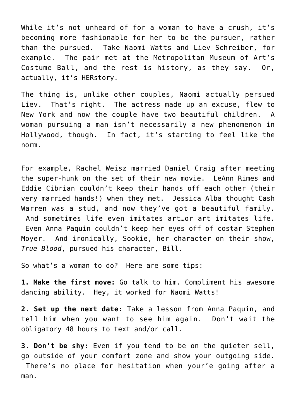While it's not unheard of for a woman to have a crush, it's becoming more fashionable for her to be the pursuer, rather than the pursued. Take Naomi Watts and Liev Schreiber, for example. The pair met at the Metropolitan Museum of Art's Costume Ball, and the rest is history, as they say. Or, actually, it's HERstory.

The thing is, unlike other couples, Naomi actually persued Liev. That's right. The actress made up an excuse, flew to New York and now the couple have two beautiful children. A woman pursuing a man isn't necessarily a new phenomenon in Hollywood, though. In fact, it's starting to feel like the norm.

For example, Rachel Weisz married Daniel Craig after meeting the super-hunk on the set of their new movie. LeAnn Rimes and Eddie Cibrian couldn't keep their hands off each other (their very married hands!) when they met. Jessica Alba thought Cash Warren was a stud, and now they've got a beautiful family. And sometimes life even imitates art…or art imitates life. Even Anna Paquin couldn't keep her eyes off of costar Stephen Moyer. And ironically, Sookie, her character on their show, *True Blood*, pursued his character, Bill.

So what's a woman to do? Here are some tips:

**1. Make the first move:** Go talk to him. Compliment his awesome dancing ability. Hey, it worked for Naomi Watts!

**2. Set up the next date:** Take a lesson from Anna Paquin, and tell him when you want to see him again. Don't wait the obligatory 48 hours to text and/or call.

**3. Don't be shy:** Even if you tend to be on the quieter sell, go outside of your comfort zone and show your outgoing side. There's no place for hesitation when your'e going after a man.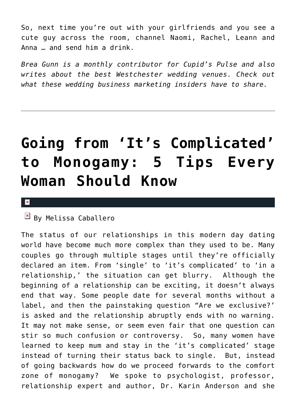So, next time you're out with your girlfriends and you see a cute guy across the room, channel Naomi, Rachel, Leann and Anna … and send him a drink.

*Brea Gunn is a monthly contributor for Cupid's Pulse and also writes about the best Westchester wedding venues. Check out what these wedding business marketing insiders have to share.*

# **[Going from 'It's Complicated'](https://cupidspulse.com/21234/going-from-it%e2%80%99s-complicated-to-monogamy-5-tips-every-woman-should-know/) [to Monogamy: 5 Tips Every](https://cupidspulse.com/21234/going-from-it%e2%80%99s-complicated-to-monogamy-5-tips-every-woman-should-know/) [Woman Should Know](https://cupidspulse.com/21234/going-from-it%e2%80%99s-complicated-to-monogamy-5-tips-every-woman-should-know/)**

#### $\pmb{\times}$

### $\overline{\mathbb{F}}$  By Melissa Caballero

The status of our relationships in this modern day dating world have become much more complex than they used to be. Many couples go through multiple stages until they're officially declared an item. From 'single' to 'it's complicated' to 'in a relationship,' the situation can get blurry. Although the beginning of a relationship can be exciting, it doesn't always end that way. Some people date for several months without a label, and then the painstaking question "Are we exclusive?' is asked and the relationship abruptly ends with no warning. It may not make sense, or seem even fair that one question can stir so much confusion or controversy. So, many women have learned to keep mum and stay in the 'it's complicated' stage instead of turning their status back to single. But, instead of going backwards how do we proceed forwards to the comfort zone of monogamy? We spoke to psychologist, professor, relationship expert and author, Dr. Karin Anderson and she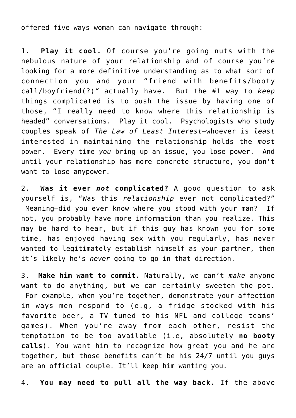offered five ways woman can navigate through:

1. **Play it cool.** Of course you're going nuts with the nebulous nature of your relationship and of course you're looking for a more definitive understanding as to what sort of connection you and your "friend with benefits/booty call/boyfriend(?)*"* actually have. But the #1 way to *keep* things complicated is to push the issue by having one of those, "I really need to know where this relationship is headed" conversations. Play it cool. Psychologists who study couples speak of *The Law of Least Interest–*whoever is *least* interested in maintaining the relationship holds the *most* power. Every time *you* bring up an issue, you lose power. And until your relationship has more concrete structure, you don't want to lose anypower.

2. **Was it ever** *not* **complicated?** A good question to ask yourself is, "Was this *relationship* ever not complicated?" Meaning–did you ever know where you stood with your man? If not, you probably have more information than you realize. This may be hard to hear, but if this guy has known you for some time, has enjoyed having sex with you regularly, has never wanted to legitimately establish himself as your partner, then it's likely he's *never* going to go in that direction.

3. **Make him want to commit.** Naturally, we can't *make* anyone want to do anything, but we can certainly sweeten the pot. For example, when you're together, demonstrate your affection in ways men respond to (e.g, a fridge stocked with his favorite beer, a TV tuned to his NFL and college teams' games). When you're away from each other, resist the temptation to be too available (i.e, absolutely **no booty calls**). You want him to recognize how great you and he are together, but those benefits can't be his 24/7 until you guys are an official couple. It'll keep him wanting you.

4. **You may need to pull all the way back.** If the above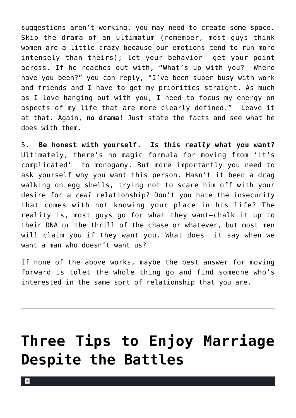suggestions aren't working, you may need to create some space. Skip the drama of an ultimatum (remember, most guys think women are a little crazy because our emotions tend to run more intensely than theirs); let your behavior get your point across. If he reaches out with, "What's up with you? Where have you been?" you can reply, "I've been super busy with work and friends and I have to get my priorities straight. As much as I love hanging out with you, I need to focus my energy on aspects of my life that are more clearly defined." Leave it at that. Again, **no drama**! Just state the facts and see what he does with them.

5. **Be honest with yourself. Is this** *really* **what you want?** Ultimately, there's no magic formula for moving from 'it's complicated' to monogamy. But more importantly you need to ask yourself why you want this person. Hasn't it been a drag walking on egg shells, trying not to scare him off with your desire for a *real* relationship? Don't you hate the insecurity that comes with not knowing your place in his life? The reality is, most guys go for what they want–chalk it up to their DNA or the thrill of the chase or whatever, but most men will claim you if they want you. What does it say when we want a man who doesn't want us?

If none of the above works, maybe the best answer for moving forward is tolet the whole thing go and find someone who's interested in the same sort of relationship that you are.

# **[Three Tips to Enjoy Marriage](https://cupidspulse.com/21420/three-tips-enjoy-marriage-despite-battles-kim-kardashian-kris-humphries-newlyweds/) [Despite the Battles](https://cupidspulse.com/21420/three-tips-enjoy-marriage-despite-battles-kim-kardashian-kris-humphries-newlyweds/)**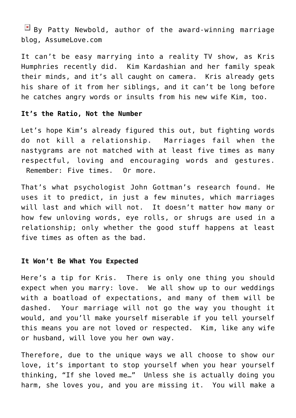$\boxed{\times}$  By Patty Newbold, author of the award-winning marriage blog, AssumeLove.com

It can't be easy marrying into a reality TV show, as Kris Humphries recently did. Kim Kardashian and her family speak their minds, and it's all caught on camera. Kris already gets his share of it from her siblings, and it can't be long before he catches angry words or insults from his new wife Kim, too.

#### **It's the Ratio, Not the Number**

Let's hope Kim's already figured this out, but fighting words do not kill a relationship. Marriages fail when the nastygrams are not matched with at least five times as many respectful, loving and encouraging words and gestures. Remember: Five times. Or more.

That's what psychologist John Gottman's research found. He uses it to predict, in just a few minutes, which marriages will last and which will not. It doesn't matter how many or how few unloving words, eye rolls, or shrugs are used in a relationship; only whether the good stuff happens at least five times as often as the bad.

#### **It Won't Be What You Expected**

Here's a tip for Kris. There is only one thing you should expect when you marry: love. We all show up to our weddings with a boatload of expectations, and many of them will be dashed. Your marriage will not go the way you thought it would, and you'll make yourself miserable if you tell yourself this means you are not loved or respected. Kim, like any wife or husband, will love you her own way.

Therefore, due to the unique ways we all choose to show our love, it's important to stop yourself when you hear yourself thinking, "If she loved me…" Unless she is actually doing you harm, she loves you, and you are missing it. You will make a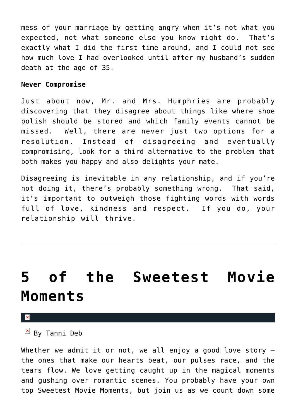mess of your marriage by getting angry when it's not what you expected, not what someone else you know might do. That's exactly what I did the first time around, and I could not see how much love I had overlooked until after my husband's sudden death at the age of 35.

#### **Never Compromise**

Just about now, Mr. and Mrs. Humphries are probably discovering that they disagree about things like where shoe polish should be stored and which family events cannot be missed. Well, there are never just two options for a resolution. Instead of disagreeing and eventually compromising, look for a third alternative to the problem that both makes you happy and also delights your mate.

Disagreeing is inevitable in any relationship, and if you're not doing it, there's probably something wrong. That said, it's important to outweigh those fighting words with words full of love, kindness and respect. If you do, your relationship will thrive.

### **[5 of the Sweetest Movie](https://cupidspulse.com/17945/5-sweetest-movie-moments-feature-romantic-comedy-chick-flick/) [Moments](https://cupidspulse.com/17945/5-sweetest-movie-moments-feature-romantic-comedy-chick-flick/)**

#### $\pmb{\times}$

 $\mathbb{E}$  By Tanni Deb

Whether we admit it or not, we all enjoy a good love story the ones that make our hearts beat, our pulses race, and the tears flow. We love getting caught up in the magical moments and gushing over romantic scenes. You probably have your own top Sweetest Movie Moments, but join us as we count down some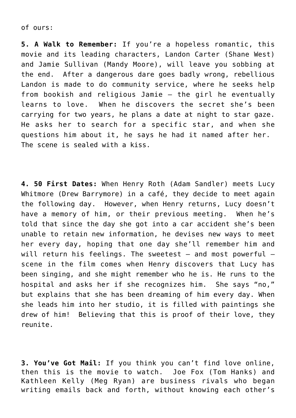of ours:

**5. A Walk to Remember:** If you're a hopeless romantic, this movie and its leading characters, Landon Carter (Shane West) and Jamie Sullivan (Mandy Moore), will leave you sobbing at the end. After a dangerous dare goes badly wrong, rebellious Landon is made to do community service, where he seeks help from bookish and religious Jamie — the girl he eventually learns to love. When he discovers the secret she's been carrying for two years, he plans a date at night to star gaze. He asks her to search for a specific star, and when she questions him about it, he says he had it named after her. The scene is sealed with a kiss.

**4. 50 First Dates:** When Henry Roth (Adam Sandler) meets Lucy Whitmore (Drew Barrymore) in a café, they decide to meet again the following day. However, when Henry returns, Lucy doesn't have a memory of him, or their previous meeting. When he's told that since the day she got into a car accident she's been unable to retain new information, he devises new ways to meet her every day, hoping that one day she'll remember him and will return his feelings. The sweetest — and most powerful scene in the film comes when Henry discovers that Lucy has been singing, and she might remember who he is. He runs to the hospital and asks her if she recognizes him. She says "no," but explains that she has been dreaming of him every day. When she leads him into her studio, it is filled with paintings she drew of him! Believing that this is proof of their love, they reunite.

**3. You've Got Mail:** If you think you can't find love online, then this is the movie to watch. Joe Fox (Tom Hanks) and Kathleen Kelly (Meg Ryan) are business rivals who began writing emails back and forth, without knowing each other's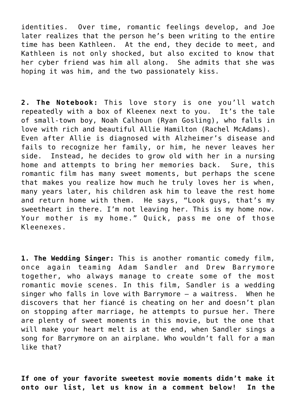identities. Over time, romantic feelings develop, and Joe later realizes that the person he's been writing to the entire time has been Kathleen. At the end, they decide to meet, and Kathleen is not only shocked, but also excited to know that her cyber friend was him all along. She admits that she was hoping it was him, and the two passionately kiss.

**2. The Notebook:** This love story is one you'll watch repeatedly with a box of Kleenex next to you. It's the tale of small-town boy, Noah Calhoun (Ryan Gosling), who falls in love with rich and beautiful Allie Hamilton (Rachel McAdams). Even after Allie is diagnosed with Alzheimer's disease and fails to recognize her family, or him, he never leaves her side. Instead, he decides to grow old with her in a nursing home and attempts to bring her memories back. Sure, this romantic film has many sweet moments, but perhaps the scene that makes you realize how much he truly loves her is when, many years later, his children ask him to leave the rest home and return home with them. He says, "Look guys, that's my sweetheart in there. I'm not leaving her. This is my home now. Your mother is my home." Quick, pass me one of those Kleenexes.

**1. The Wedding Singer:** This is another romantic comedy film, once again teaming Adam Sandler and Drew Barrymore together, who always manage to create some of the most romantic movie scenes. In this film, Sandler is a wedding singer who falls in love with Barrymore — a waitress. When he discovers that her fiancé is cheating on her and doesn't plan on stopping after marriage, he attempts to pursue her. There are plenty of sweet moments in this movie, but the one that will make your heart melt is at the end, when Sandler sings a song for Barrymore on an airplane. Who wouldn't fall for a man like that?

**If one of your favorite sweetest movie moments didn't make it onto our list, let us know in a comment below! In the**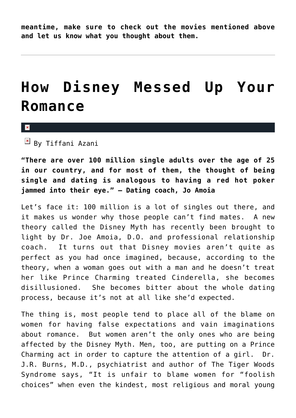**meantime, make sure to check out the movies mentioned above and let us know what you thought about them.**

### **[How Disney Messed Up Your](https://cupidspulse.com/21342/how-disney-messed-up-romance-cinderella-prince-charming-myth-singles/) [Romance](https://cupidspulse.com/21342/how-disney-messed-up-romance-cinderella-prince-charming-myth-singles/)**

 $\pmb{\times}$ 

 $\overline{B}$  By Tiffani Azani

**"There are over 100 million single adults over the age of 25 in our country, and for most of them, the thought of being single and dating is analogous to having a red hot poker jammed into their eye." – Dating coach, Jo Amoia**

Let's face it: 100 million is a lot of singles out there, and it makes us wonder why those people can't find mates. A new theory called the Disney Myth has recently been brought to light by Dr. Joe Amoia, D.O. and professional relationship coach. It turns out that Disney movies aren't quite as perfect as you had once imagined, because, according to the theory, when a woman goes out with a man and he doesn't treat her like Prince Charming treated Cinderella, she becomes disillusioned. She becomes bitter about the whole dating process, because it's not at all like she'd expected.

The thing is, most people tend to place all of the blame on women for having false expectations and vain imaginations about romance. But women aren't the only ones who are being affected by the Disney Myth. Men, too, are putting on a Prince Charming act in order to capture the attention of a girl. Dr. J.R. Burns, M.D., psychiatrist and author of The Tiger Woods Syndrome says, "It is unfair to blame women for "foolish choices" when even the kindest, most religious and moral young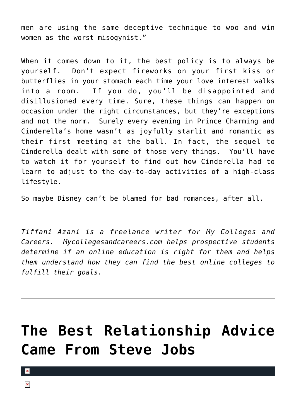men are using the same deceptive technique to woo and win women as the worst misogynist."

When it comes down to it, the best policy is to always be yourself. Don't expect fireworks on your first kiss or butterflies in your stomach each time your love interest walks into a room. If you do, you'll be disappointed and disillusioned every time. Sure, these things can happen on occasion under the right circumstances, but they're exceptions and not the norm. Surely every evening in Prince Charming and Cinderella's home wasn't as joyfully starlit and romantic as their first meeting at the ball. In fact, the sequel to Cinderella dealt with some of those very things. You'll have to watch it for yourself to find out how Cinderella had to learn to adjust to the day-to-day activities of a high-class lifestyle.

So maybe Disney can't be blamed for bad romances, after all.

*Tiffani Azani is a freelance writer for My Colleges and Careers. Mycollegesandcareers.com helps prospective students determine if an online education is right for them and helps them understand how they can find the best online colleges to fulfill their goals.*

### **[The Best Relationship Advice](https://cupidspulse.com/21161/apple-co-founder-steve-jobs-dies-at-56-pancreatic-cancer-gave-great-speech-at-stanfor/) [Came From Steve Jobs](https://cupidspulse.com/21161/apple-co-founder-steve-jobs-dies-at-56-pancreatic-cancer-gave-great-speech-at-stanfor/)**

 $\pmb{\times}$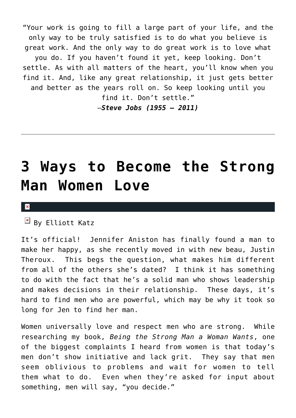"Your work is going to fill a large part of your life, and the only way to be truly satisfied is to do what you believe is great work. And the only way to do great work is to love what you do. If you haven't found it yet, keep looking. Don't settle. As with all matters of the heart, you'll know when you find it. And, like any great relationship, it just gets better and better as the years roll on. So keep looking until you find it. Don't settle."

–*Steve Jobs (1955 — 2011)*

### **[3 Ways to Become the Strong](https://cupidspulse.com/21130/3-ways-become-strong-man-women-love-want-jennifer-aniston-justin-theroux/) [Man Women Love](https://cupidspulse.com/21130/3-ways-become-strong-man-women-love-want-jennifer-aniston-justin-theroux/)**

#### $\mathbf{x}$

 $\overline{B}$  By Elliott Katz

It's official! Jennifer Aniston has finally found a man to make her happy, as she recently moved in with new beau, Justin Theroux. This begs the question, what makes him different from all of the others she's dated? I think it has something to do with the fact that he's a solid man who shows leadership and makes decisions in their relationship. These days, it's hard to find men who are powerful, which may be why it took so long for Jen to find her man.

Women universally love and respect men who are strong. While researching my book, *Being the Strong Man a Woman Wants*, one of the biggest complaints I heard from women is that today's men don't show initiative and lack grit. They say that men seem oblivious to problems and wait for women to tell them what to do. Even when they're asked for input about something, men will say, "you decide."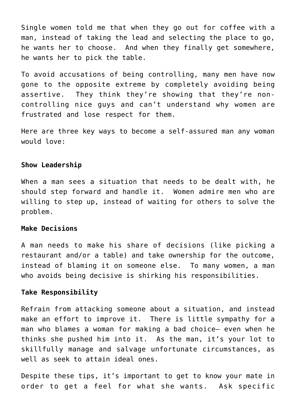Single women told me that when they go out for coffee with a man, instead of taking the lead and selecting the place to go, he wants her to choose. And when they finally get somewhere, he wants her to pick the table.

To avoid accusations of being controlling, many men have now gone to the opposite extreme by completely avoiding being assertive. They think they're showing that they're noncontrolling nice guys and can't understand why women are frustrated and lose respect for them.

Here are three key ways to become a self-assured man any woman would love:

#### **Show Leadership**

When a man sees a situation that needs to be dealt with, he should step forward and handle it. Women admire men who are willing to step up, instead of waiting for others to solve the problem.

#### **Make Decisions**

A man needs to make his share of decisions (like picking a restaurant and/or a table) and take ownership for the outcome, instead of blaming it on someone else. To many women, a man who avoids being decisive is shirking his responsibilities.

#### **Take Responsibility**

Refrain from attacking someone about a situation, and instead make an effort to improve it. There is little sympathy for a man who blames a woman for making a bad choice— even when he thinks she pushed him into it. As the man, it's your lot to skillfully manage and salvage unfortunate circumstances, as well as seek to attain ideal ones.

Despite these tips, it's important to get to know your mate in order to get a feel for what she wants. Ask specific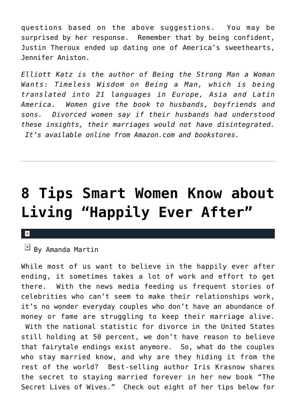questions based on the above suggestions. You may be surprised by her response. Remember that by being confident, Justin Theroux ended up dating one of America's sweethearts, Jennifer Aniston.

*Elliott Katz is the author of Being the Strong Man a Woman Wants: Timeless Wisdom on Being a Man, which is being translated into 21 languages in Europe, Asia and Latin America. Women give the book to husbands, boyfriends and sons. Divorced women say if their husbands had understood these insights, their marriages would not have disintegrated. It's available online from Amazon.com and bookstores.*

### **[8 Tips Smart Women Know about](https://cupidspulse.com/20651/new-york-times-best-selling-authoriris-krasnows-new-book-the-secret-lives-of-wives-8-tips-to-achieving-happily-ever-after/) [Living "Happily Ever After"](https://cupidspulse.com/20651/new-york-times-best-selling-authoriris-krasnows-new-book-the-secret-lives-of-wives-8-tips-to-achieving-happily-ever-after/)**

#### $\pmb{\times}$

 $\mathbb{E}$  By Amanda Martin

While most of us want to believe in the happily ever after ending, it sometimes takes a lot of work and effort to get there. With the news media feeding us frequent stories of celebrities who can't seem to make their relationships work, it's no wonder everyday couples who don't have an abundance of money or fame are struggling to keep their marriage alive. With the national statistic for divorce in the United States still holding at 50 percent, we don't have reason to believe that fairytale endings exist anymore. So, what do the couples who stay married know, and why are they hiding it from the rest of the world? Best-selling author Iris Krasnow shares the secret to staying married forever in her new book "The Secret Lives of Wives." Check out eight of her tips below for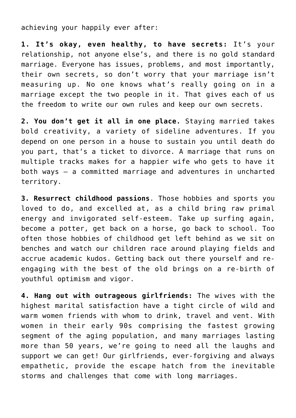achieving your happily ever after:

**1. It's okay, even healthy, to have secrets:** It's your relationship, not anyone else's, and there is no gold standard marriage. Everyone has issues, problems, and most importantly, their own secrets, so don't worry that your marriage isn't measuring up. No one knows what's really going on in a marriage except the two people in it. That gives each of us the freedom to write our own rules and keep our own secrets.

**2. You don't get it all in one place.** Staying married takes bold creativity, a variety of sideline adventures. If you depend on one person in a house to sustain you until death do you part, that's a ticket to divorce. A marriage that runs on multiple tracks makes for a happier wife who gets to have it both ways — a committed marriage and adventures in uncharted territory.

**3. Resurrect childhood passions**. Those hobbies and sports you loved to do, and excelled at, as a child bring raw primal energy and invigorated self-esteem. Take up surfing again, become a potter, get back on a horse, go back to school. Too often those hobbies of childhood get left behind as we sit on benches and watch our children race around playing fields and accrue academic kudos. Getting back out there yourself and reengaging with the best of the old brings on a re-birth of youthful optimism and vigor.

**4. Hang out with outrageous girlfriends:** The wives with the highest marital satisfaction have a tight circle of wild and warm women friends with whom to drink, travel and vent. With women in their early 90s comprising the fastest growing segment of the aging population, and many marriages lasting more than 50 years, we're going to need all the laughs and support we can get! Our girlfriends, ever-forgiving and always empathetic, provide the escape hatch from the inevitable storms and challenges that come with long marriages.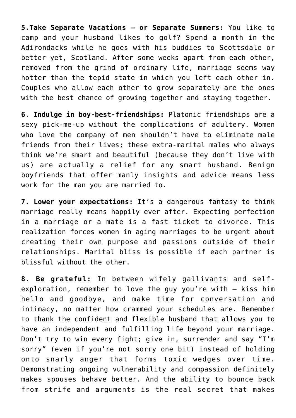**5.Take Separate Vacations — or Separate Summers:** You like to camp and your husband likes to golf? Spend a month in the Adirondacks while he goes with his buddies to Scottsdale or better yet, Scotland. After some weeks apart from each other, removed from the grind of ordinary life, marriage seems way hotter than the tepid state in which you left each other in. Couples who allow each other to grow separately are the ones with the best chance of growing together and staying together.

**6**. **Indulge in boy-best-friendships:** Platonic friendships are a sexy pick-me-up without the complications of adultery. Women who love the company of men shouldn't have to eliminate male friends from their lives; these extra-marital males who always think we're smart and beautiful (because they don't live with us) are actually a relief for any smart husband. Benign boyfriends that offer manly insights and advice means less work for the man you are married to.

**7. Lower your expectations:** It's a dangerous fantasy to think marriage really means happily ever after. Expecting perfection in a marriage or a mate is a fast ticket to divorce. This realization forces women in aging marriages to be urgent about creating their own purpose and passions outside of their relationships. Marital bliss is possible if each partner is blissful without the other.

**8. Be grateful:** In between wifely gallivants and selfexploration, remember to love the guy you're with — kiss him hello and goodbye, and make time for conversation and intimacy, no matter how crammed your schedules are. Remember to thank the confident and flexible husband that allows you to have an independent and fulfilling life beyond your marriage. Don't try to win every fight; give in, surrender and say "I'm sorry" (even if you're not sorry one bit) instead of holding onto snarly anger that forms toxic wedges over time. Demonstrating ongoing vulnerability and compassion definitely makes spouses behave better. And the ability to bounce back from strife and arguments is the real secret that makes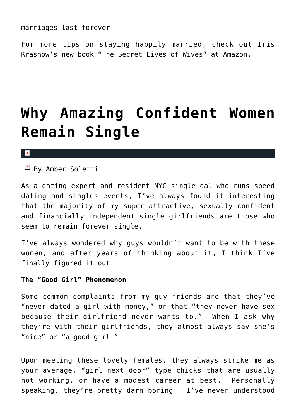marriages last forever.

For more tips on staying happily married, check out Iris Krasnow's new book "The Secret Lives of Wives" at Amazon.

# **[Why Amazing Confident Women](https://cupidspulse.com/20805/why-amazing-confident-women-remain-single-amber-soletti-onspeeddating-guest/) [Remain Single](https://cupidspulse.com/20805/why-amazing-confident-women-remain-single-amber-soletti-onspeeddating-guest/)**

#### $\pmb{\times}$

 $\frac{1}{2}$  By Amber Soletti

As a dating expert and resident NYC single gal who runs speed dating and singles events, I've always found it interesting that the majority of my super attractive, sexually confident and financially independent single girlfriends are those who seem to remain forever single.

I've always wondered why guys wouldn't want to be with these women, and after years of thinking about it, I think I've finally figured it out:

#### **The "Good Girl" Phenomenon**

Some common complaints from my guy friends are that they've "never dated a girl with money," or that "they never have sex because their girlfriend never wants to." When I ask why they're with their girlfriends, they almost always say she's "nice" or "a good girl."

Upon meeting these lovely females, they always strike me as your average, "girl next door" type chicks that are usually not working, or have a modest career at best. Personally speaking, they're pretty darn boring. I've never understood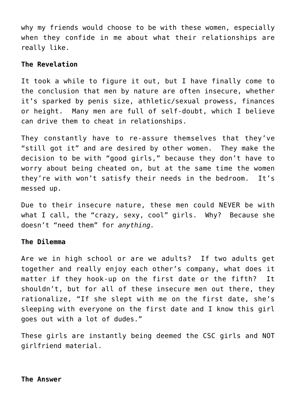why my friends would choose to be with these women, especially when they confide in me about what their relationships are really like.

#### **The Revelation**

It took a while to figure it out, but I have finally come to the conclusion that men by nature are often insecure, whether it's sparked by penis size, athletic/sexual prowess, finances or height. Many men are full of self-doubt, which I believe can drive them to cheat in relationships.

They constantly have to re-assure themselves that they've "still got it" and are desired by other women. They make the decision to be with "good girls," because they don't have to worry about being cheated on, but at the same time the women they're with won't satisfy their needs in the bedroom. It's messed up.

Due to their insecure nature, these men could NEVER be with what I call, the "crazy, sexy, cool" girls. Why? Because she doesn't "need them" for *anything.*

#### **The Dilemma**

Are we in high school or are we adults? If two adults get together and really enjoy each other's company, what does it matter if they hook-up on the first date or the fifth? It shouldn't, but for all of these insecure men out there, they rationalize, "If she slept with me on the first date, she's sleeping with everyone on the first date and I know this girl goes out with a lot of dudes."

These girls are instantly being deemed the CSC girls and NOT girlfriend material.

#### **The Answer**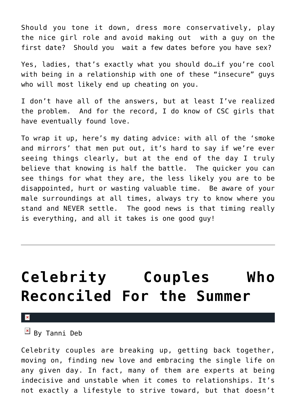Should you tone it down, dress more conservatively, play the nice girl role and avoid making out with a guy on the first date? Should you wait a few dates before you have sex?

Yes, ladies, that's exactly what you should do…if you're cool with being in a relationship with one of these "insecure" guys who will most likely end up cheating on you.

I don't have all of the answers, but at least I've realized the problem. And for the record, I do know of CSC girls that have eventually found love.

To wrap it up, here's my dating advice: with all of the 'smoke and mirrors' that men put out, it's hard to say if we're ever seeing things clearly, but at the end of the day I truly believe that knowing is half the battle. The quicker you can see things for what they are, the less likely you are to be disappointed, hurt or wasting valuable time. Be aware of your male surroundings at all times, always try to know where you stand and NEVER settle. The good news is that timing really is everything, and all it takes is one good guy!

# **[Celebrity Couples Who](https://cupidspulse.com/17786/celebrity-couples-reconciled-for-summer-lady-gaga-luc-carl-rachel-bilson-hayden-christensen-ronnie-ortiz-magro-sammie-giancola-miley-cyrus-liam-hemsworth-jamie-lynn-spears/) [Reconciled For the Summer](https://cupidspulse.com/17786/celebrity-couples-reconciled-for-summer-lady-gaga-luc-carl-rachel-bilson-hayden-christensen-ronnie-ortiz-magro-sammie-giancola-miley-cyrus-liam-hemsworth-jamie-lynn-spears/)**

 $\pmb{\times}$ 

 $\mathbb{E}$  By Tanni Deb

Celebrity couples are breaking up, getting back together, moving on, finding new love and embracing the single life on any given day. In fact, many of them are experts at being indecisive and unstable when it comes to relationships. It's not exactly a lifestyle to strive toward, but that doesn't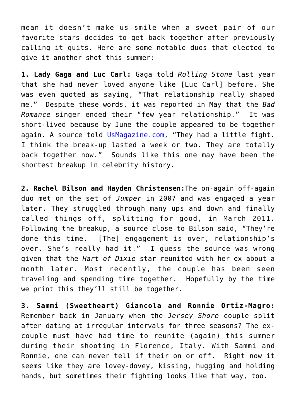mean it doesn't make us smile when a sweet pair of our favorite stars decides to get back together after previously calling it quits. Here are some notable duos that elected to give it another shot this summer:

**1. Lady Gaga and Luc Carl:** Gaga told *Rolling Stone* last year that she had never loved anyone like [Luc Carl] before. She was even quoted as saying, "That relationship really shaped me." Despite these words, it was reported in May that the *Bad Romance* singer ended their "few year relationship." It was short-lived because by June the couple appeared to be together again. A source told [UsMagazine.com](http://www.usmagazine.com/celebritynews/news/lady-gaga-splits-from-boyfriend-luc-carl-2011135), "They had a little fight. I think the break-up lasted a week or two. They are totally back together now." Sounds like this one may have been the shortest breakup in celebrity history.

**2. Rachel Bilson and Hayden Christensen:**The on-again off-again duo met on the set of *Jumper* in 2007 and was engaged a year later. They struggled through many ups and down and finally called things off, splitting for good, in March 2011. Following the breakup, a source close to Bilson said, "They're done this time. [The] engagement is over, relationship's over. She's really had it." I guess the source was wrong given that the *Hart of Dixie* star reunited with her ex about a month later. Most recently, the couple has been seen traveling and spending time together. Hopefully by the time we print this they'll still be together.

**3. Sammi (Sweetheart) Giancola and Ronnie Ortiz-Magro:** Remember back in January when the *Jersey Shore* couple split after dating at irregular intervals for three seasons? The excouple must have had time to reunite (again) this summer during their shooting in Florence, Italy. With Sammi and Ronnie, one can never tell if their on or off. Right now it seems like they are lovey-dovey, kissing, hugging and holding hands, but sometimes their fighting looks like that way, too.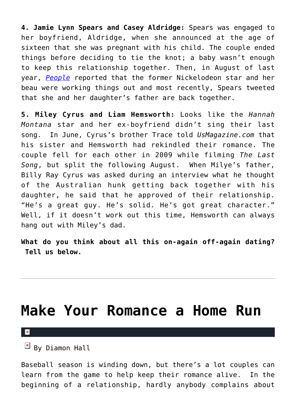**4. Jamie Lynn Spears and Casey Aldridge:** Spears was engaged to her boyfriend, Aldridge, when she announced at the age of sixteen that she was pregnant with his child. The couple ended things before deciding to tie the knot; a baby wasn't enough to keep this relationship together. Then, in August of last year, *[People](http://www.people.com/people/article/0,,20412946,00.html)* reported that the former Nickelodeon star and her beau were working things out and most recently, Spears tweeted that she and her daughter's father are back together.

**5. Miley Cyrus and Liam Hemsworth:** Looks like the *Hannah Montana* star and her ex-boyfriend didn't sing their last song. In June, Cyrus's brother Trace told *UsMagazine.com* that his sister and Hemsworth had rekindled their romance. The couple fell for each other in 2009 while filming *The Last Song*, but split the following August. When Milye's father, Billy Ray Cyrus was asked during an interview what he thought of the Australian hunk getting back together with his daughter, he said that he approved of their relationship. "He's a great guy. He's solid. He's got great character." Well, if it doesn't work out this time, Hemsworth can always hang out with Miley's dad.

**What do you think about all this on-again off-again dating? Tell us below.**

### **[Make Your Romance a Home Run](https://cupidspulse.com/17637/make-your-romance-home-run/)**

×

 $\mathbb{E}$  By Diamon Hall

Baseball season is winding down, but there's a lot couples can learn from the game to help keep their romance alive. In the beginning of a relationship, hardly anybody complains about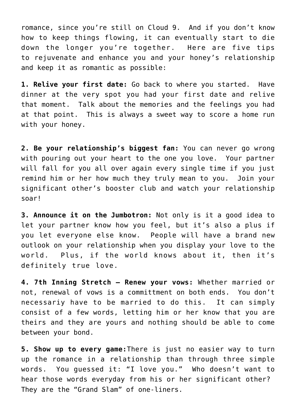romance, since you're still on Cloud 9. And if you don't know how to keep things flowing, it can eventually start to die down the longer you're together. Here are five tips to rejuvenate and enhance you and your honey's relationship and keep it as romantic as possible:

**1. Relive your first date:** Go back to where you started. Have dinner at the very spot you had your first date and relive that moment. Talk about the memories and the feelings you had at that point. This is always a sweet way to score a home run with your honey.

**2. Be your relationship's biggest fan:** You can never go wrong with pouring out your heart to the one you love. Your partner will fall for you all over again every single time if you just remind him or her how much they truly mean to you. Join your significant other's booster club and watch your relationship soar!

**3. Announce it on the Jumbotron:** Not only is it a good idea to let your partner know how you feel, but it's also a plus if you let everyone else know. People will have a brand new outlook on your relationship when you display your love to the world. Plus, if the world knows about it, then it's definitely true love.

**4. 7th Inning Stretch – Renew your vows:** Whether married or not, renewal of vows is a committment on both ends. You don't necessariy have to be married to do this. It can simply consist of a few words, letting him or her know that you are theirs and they are yours and nothing should be able to come between your bond.

**5. Show up to every game:**There is just no easier way to turn up the romance in a relationship than through three simple words. You guessed it: "I love you." Who doesn't want to hear those words everyday from his or her significant other? They are the "Grand Slam" of one-liners.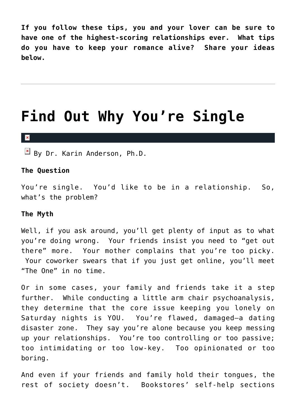**If you follow these tips, you and your lover can be sure to have one of the highest-scoring relationships ever. What tips do you have to keep your romance alive? Share your ideas below.**

### **[Find Out Why You're Single](https://cupidspulse.com/20411/find-out-why-youre-single-it-just-hasnt-happened-yet-author-karin-anderson/)**

#### $\pmb{\times}$

 $\overline{B}$  By Dr. Karin Anderson, Ph.D.

#### **The Question**

You're single. You'd like to be in a relationship. So, what's the problem?

#### **The Myth**

Well, if you ask around, you'll get plenty of input as to what you're doing wrong. Your friends insist you need to "get out there" more. Your mother complains that you're too picky. Your coworker swears that if you just get online, you'll meet "The One" in no time.

Or in some cases, your family and friends take it a step further. While conducting a little arm chair psychoanalysis, they determine that the core issue keeping you lonely on Saturday nights is YOU. You're flawed, damaged–a dating disaster zone. They say you're alone because you keep messing up your relationships. You're too controlling or too passive; too intimidating or too low-key. Too opinionated or too boring.

And even if your friends and family hold their tongues, the rest of society doesn't. Bookstores' self-help sections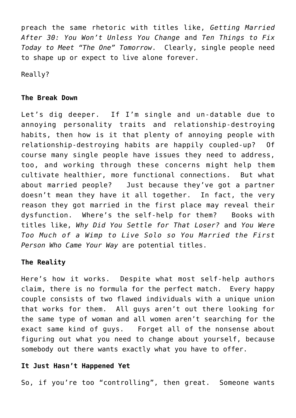preach the same rhetoric with titles like, *Getting Married After 30: You Won't Unless You Change* and *Ten Things to Fix Today to Meet "The One" Tomorrow*. Clearly, single people need to shape up or expect to live alone forever.

Really?

#### **The Break Down**

Let's dig deeper. If I'm single and un-datable due to annoying personality traits and relationship-destroying habits, then how is it that plenty of annoying people with relationship-destroying habits are happily coupled-up? Of course many single people have issues they need to address, too, and working through these concerns might help them cultivate healthier, more functional connections. But what about married people? Just because they've got a partner doesn't mean they have it all together. In fact, the very reason they got married in the first place may reveal their dysfunction. Where's the self-help for them? Books with titles like, *Why Did You Settle for That Loser?* and *You Were Too Much of a Wimp to Live Solo so You Married the First Person Who Came Your Way* are potential titles.

#### **The Reality**

Here's how it works. Despite what most self-help authors claim, there is no formula for the perfect match. Every happy couple consists of two flawed individuals with a unique union that works for them. All guys aren't out there looking for the same type of woman and all women aren't searching for the exact same kind of guys. Forget all of the nonsense about figuring out what you need to change about yourself, because somebody out there wants exactly what you have to offer.

#### **It Just Hasn't Happened Yet**

So, if you're too "controlling", then great. Someone wants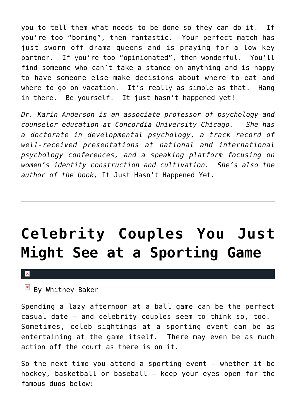you to tell them what needs to be done so they can do it. If you're too "boring", then fantastic. Your perfect match has just sworn off drama queens and is praying for a low key partner. If you're too "opinionated", then wonderful. You'll find someone who can't take a stance on anything and is happy to have someone else make decisions about where to eat and where to go on vacation. It's really as simple as that. Hang in there. Be yourself. It just hasn't happened yet!

*Dr. Karin Anderson is an associate professor of psychology and counselor education at Concordia University Chicago. She has a doctorate in developmental psychology, a track record of well-received presentations at national and international psychology conferences, and a speaking platform focusing on women's identity construction and cultivation. She's also the author of the book,* It Just Hasn't Happened Yet*.*

# **[Celebrity Couples You Just](https://cupidspulse.com/17611/celebrity-couples-athletes-sporting-game/) [Might See at a Sporting Game](https://cupidspulse.com/17611/celebrity-couples-athletes-sporting-game/)**

#### $\mathbf x$

 $\mathbb{E}$  By Whitney Baker

Spending a lazy afternoon at a ball game can be the perfect casual date — and celebrity couples seem to think so, too. Sometimes, celeb sightings at a sporting event can be as entertaining at the game itself. There may even be as much action off the court as there is on it.

So the next time you attend a sporting event  $-$  whether it be hockey, basketball or baseball — keep your eyes open for the famous duos below: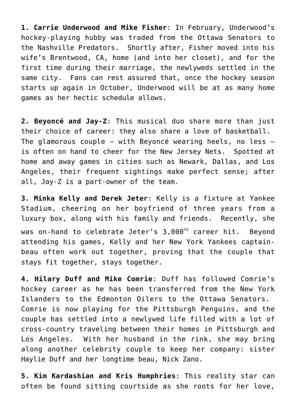**1. Carrie Underwood and Mike Fisher**: In February, Underwood's hockey-playing hubby was traded from the Ottawa Senators to the Nashville Predators. Shortly after, Fisher moved into his wife's Brentwood, CA, home (and into her closet), and for the first time during their marriage, the newlyweds settled in the same city. Fans can rest assured that, once the hockey season starts up again in October, Underwood will be at as many home games as her hectic schedule allows.

**2. Beyoncé and Jay-Z**: This musical duo share more than just their choice of career: they also share a love of basketball. The glamorous couple — with Beyoncé wearing heels, no less is often on hand to cheer for the New Jersey Nets. Spotted at home and away games in cities such as Newark, Dallas, and Los Angeles, their frequent sightings make perfect sense; after all, Jay-Z is a part-owner of the team.

**3. Minka Kelly and Derek Jeter**: Kelly is a fixture at Yankee Stadium, cheering on her boyfriend of three years from a luxury box, along with his family and friends. Recently, she was on-hand to celebrate Jeter's 3,000<sup>th</sup> career hit. Beyond attending his games, Kelly and her New York Yankees captainbeau often work out together, proving that the couple that stays fit together, stays together.

**4. Hilary Duff and Mike Comrie**: Duff has followed Comrie's hockey career as he has been transferred from the New York Islanders to the Edmonton Oilers to the Ottawa Senators. Comrie is now playing for the Pittsburgh Penguins, and the couple has settled into a newlywed life filled with a lot of cross-country traveling between their homes in Pittsburgh and Los Angeles. With her husband in the rink, she may bring along another celebrity couple to keep her company: sister Haylie Duff and her longtime beau, Nick Zano.

**5. Kim Kardashian and Kris Humphries**: This reality star can often be found sitting courtside as she roots for her love,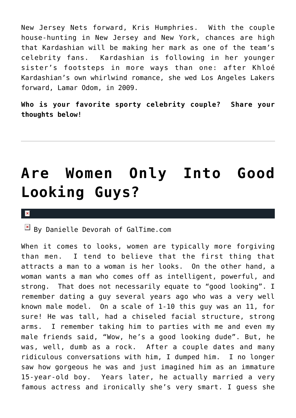New Jersey Nets forward, Kris Humphries. With the couple house-hunting in New Jersey and New York, chances are high that Kardashian will be making her mark as one of the team's celebrity fans. Kardashian is following in her younger sister's footsteps in more ways than one: after Khloé Kardashian's own whirlwind romance, she wed Los Angeles Lakers forward, Lamar Odom, in 2009.

**Who is your favorite sporty celebrity couple? Share your thoughts below!**

# **[Are Women Only Into Good](https://cupidspulse.com/18886/are-women-only-into-good-looking-guys/) [Looking Guys?](https://cupidspulse.com/18886/are-women-only-into-good-looking-guys/)**

#### $\pmb{\times}$

 $\mathbb{E}$  By Danielle Devorah of GalTime.com

When it comes to looks, women are typically more forgiving than men. I tend to believe that the first thing that attracts a man to a woman is her looks. On the other hand, a woman wants a man who comes off as intelligent, powerful, and strong. That does not necessarily equate to "good looking". I remember dating a guy several years ago who was a very well known male model. On a scale of 1-10 this guy was an 11, for sure! He was tall, had a chiseled facial structure, strong arms. I remember taking him to parties with me and even my male friends said, "Wow, he's a good looking dude". But, he was, well, dumb as a rock. After a couple dates and many ridiculous conversations with him, I dumped him. I no longer saw how gorgeous he was and just imagined him as an immature 15-year-old boy. Years later, he actually married a very famous actress and ironically she's very smart. I guess she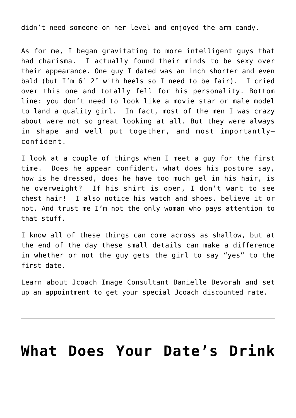didn't need someone on her level and enjoyed the arm candy.

As for me, I began gravitating to more intelligent guys that had charisma. I actually found their minds to be sexy over their appearance. One guy I dated was an inch shorter and even bald (but I'm 6′ 2″ with heels so I need to be fair). I cried over this one and totally fell for his personality. Bottom line: you don't need to look like a movie star or male model to land a quality girl. In fact, most of the men I was crazy about were not so great looking at all. But they were always in shape and well put together, and most importantly– confident.

I look at a couple of things when I meet a guy for the first time. Does he appear confident, what does his posture say, how is he dressed, does he have too much gel in his hair, is he overweight? If his shirt is open, I don't want to see chest hair! I also notice his watch and shoes, believe it or not. And trust me I'm not the only woman who pays attention to that stuff.

I know all of these things can come across as shallow, but at the end of the day these small details can make a difference in whether or not the guy gets the girl to say "yes" to the first date.

Learn about Jcoach Image Consultant Danielle Devorah and set up an appointment to get your special Jcoach discounted rate.

### **[What Does Your Date's Drink](https://cupidspulse.com/18282/what-does-dates-drink-say-about-him-bartender-love-beer-wine-liquor/)**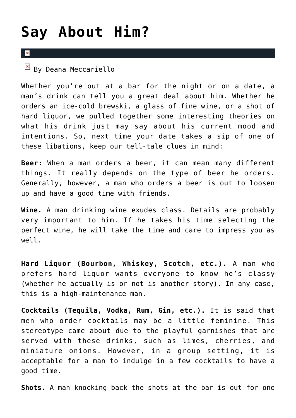### **[Say About Him?](https://cupidspulse.com/18282/what-does-dates-drink-say-about-him-bartender-love-beer-wine-liquor/)**

#### $\overline{\mathbf{x}}$

 $\overline{\mathbf{B}}$  By Deana Meccariello

Whether you're out at a bar for the night or on a date, a man's drink can tell you a great deal about him. Whether he orders an ice-cold brewski, a glass of fine wine, or a shot of hard liquor, we pulled together some interesting theories on what his drink just may say about his current mood and intentions. So, next time your date takes a sip of one of these libations, keep our tell-tale clues in mind:

**Beer:** When a man orders a beer, it can mean many different things. It really depends on the type of beer he orders. Generally, however, a man who orders a beer is out to loosen up and have a good time with friends.

**Wine.** A man drinking wine exudes class. Details are probably very important to him. If he takes his time selecting the perfect wine, he will take the time and care to impress you as well.

**Hard Liquor (Bourbon, Whiskey, Scotch, etc.).** A man who prefers hard liquor wants everyone to know he's classy (whether he actually is or not is another story). In any case, this is a high-maintenance man.

**Cocktails (Tequila, Vodka, Rum, Gin, etc.).** It is said that men who order cocktails may be a little feminine. This stereotype came about due to the playful garnishes that are served with these drinks, such as limes, cherries, and miniature onions. However, in a group setting, it is acceptable for a man to indulge in a few cocktails to have a good time.

**Shots.** A man knocking back the shots at the bar is out for one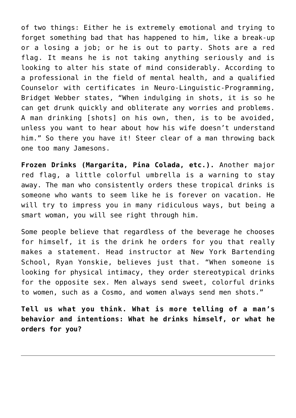of two things: Either he is extremely emotional and trying to forget something bad that has happened to him, like a break-up or a losing a job; or he is out to party. Shots are a red flag. It means he is not taking anything seriously and is looking to alter his state of mind considerably. According to a professional in the field of mental health, and a qualified Counselor with certificates in Neuro-Linguistic-Programming, Bridget Webber states, "When indulging in shots, it is so he can get drunk quickly and obliterate any worries and problems. A man drinking [shots] on his own, then, is to be avoided, unless you want to hear about how his wife doesn't understand him." So there you have it! Steer clear of a man throwing back one too many Jamesons.

**Frozen Drinks (Margarita, Pina Colada, etc.).** Another major red flag, a little colorful umbrella is a warning to stay away. The man who consistently orders these tropical drinks is someone who wants to seem like he is forever on vacation. He will try to impress you in many ridiculous ways, but being a smart woman, you will see right through him.

Some people believe that regardless of the beverage he chooses for himself, it is the drink he orders for you that really makes a statement. Head instructor at New York Bartending School, Ryan Yonskie, believes just that. "When someone is looking for physical intimacy, they order stereotypical drinks for the opposite sex. Men always send sweet, colorful drinks to women, such as a Cosmo, and women always send men shots."

**Tell us what you think. What is more telling of a man's behavior and intentions: What he drinks himself, or what he orders for you?**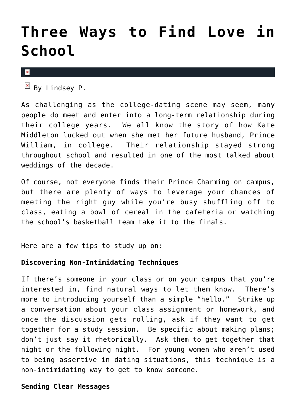### **[Three Ways to Find Love in](https://cupidspulse.com/20074/three-ways-find-love-school-campus-classroom-college-dating/) [School](https://cupidspulse.com/20074/three-ways-find-love-school-campus-classroom-college-dating/)**

 $\pmb{\times}$ 

 $\boxed{\times}$  By Lindsey P.

As challenging as the college-dating scene may seem, many people do meet and enter into a long-term relationship during their college years. We all know the story of how Kate Middleton lucked out when she met her future husband, Prince William, in college. Their relationship stayed strong throughout school and resulted in one of the most talked about weddings of the decade.

Of course, not everyone finds their Prince Charming on campus, but there are plenty of ways to leverage your chances of meeting the right guy while you're busy shuffling off to class, eating a bowl of cereal in the cafeteria or watching the school's basketball team take it to the finals.

Here are a few tips to study up on:

#### **Discovering Non-Intimidating Techniques**

If there's someone in your class or on your campus that you're interested in, find natural ways to let them know. There's more to introducing yourself than a simple "hello." Strike up a conversation about your class assignment or homework, and once the discussion gets rolling, ask if they want to get together for a study session. Be specific about making plans; don't just say it rhetorically. Ask them to get together that night or the following night. For young women who aren't used to being assertive in dating situations, this technique is a non-intimidating way to get to know someone.

#### **Sending Clear Messages**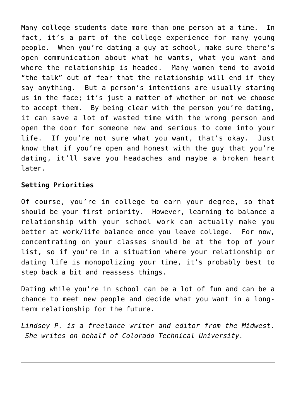Many college students date more than one person at a time. In fact, it's a part of the college experience for many young people. When you're dating a guy at school, make sure there's open communication about what he wants, what you want and where the relationship is headed. Many women tend to avoid "the talk" out of fear that the relationship will end if they say anything. But a person's intentions are usually staring us in the face; it's just a matter of whether or not we choose to accept them. By being clear with the person you're dating, it can save a lot of wasted time with the wrong person and open the door for someone new and serious to come into your life. If you're not sure what you want, that's okay. Just know that if you're open and honest with the guy that you're dating, it'll save you headaches and maybe a broken heart later.

#### **Setting Priorities**

Of course, you're in college to earn your degree, so that should be your first priority. However, learning to balance a relationship with your school work can actually make you better at work/life balance once you leave college. For now, concentrating on your classes should be at the top of your list, so if you're in a situation where your relationship or dating life is monopolizing your time, it's probably best to step back a bit and reassess things.

Dating while you're in school can be a lot of fun and can be a chance to meet new people and decide what you want in a longterm relationship for the future.

*Lindsey P. is a freelance writer and editor from the Midwest. She writes on behalf of Colorado Technical University.*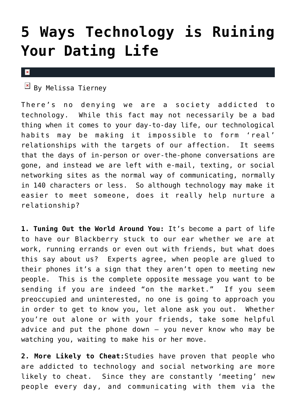### **[5 Ways Technology is Ruining](https://cupidspulse.com/17689/5-ways-technology-ruining-your-dating-life/) [Your Dating Life](https://cupidspulse.com/17689/5-ways-technology-ruining-your-dating-life/)**

 $\pmb{\times}$ 

 $\mathbb{F}$  By Melissa Tierney

There's no denying we are a society addicted to technology. While this fact may not necessarily be a bad thing when it comes to your day-to-day life, our technological habits may be making it impossible to form 'real' relationships with the targets of our affection. It seems that the days of in-person or over-the-phone conversations are gone, and instead we are left with e-mail, texting, or social networking sites as the normal way of communicating, normally in 140 characters or less. So although technology may make it easier to meet someone, does it really help nurture a relationship?

**1. Tuning Out the World Around You:** It's become a part of life to have our Blackberry stuck to our ear whether we are at work, running errands or even out with friends, but what does this say about us? Experts agree, when people are glued to their phones it's a sign that they aren't open to meeting new people. This is the complete opposite message you want to be sending if you are indeed "on the market." If you seem preoccupied and uninterested, no one is going to approach you in order to get to know you, let alone ask you out. Whether you're out alone or with your friends, take some helpful advice and put the phone down – you never know who may be watching you, waiting to make his or her move.

**2. More Likely to Cheat:**Studies have proven that people who are addicted to technology and social networking are more likely to cheat. Since they are constantly 'meeting' new people every day, and communicating with them via the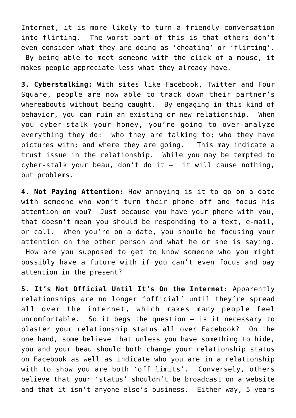Internet, it is more likely to turn a friendly conversation into flirting. The worst part of this is that others don't even consider what they are doing as 'cheating' or 'flirting'. By being able to meet someone with the click of a mouse, it makes people appreciate less what they already have.

**3. Cyberstalking:** With sites like Facebook, Twitter and Four Square, people are now able to track down their partner's whereabouts without being caught. By engaging in this kind of behavior, you can ruin an existing or new relationship. When you cyber-stalk your honey, you're going to over-analyze everything they do: who they are talking to; who they have pictures with; and where they are going. This may indicate a trust issue in the relationship. While you may be tempted to cyber-stalk your beau, don't do it  $-$  it will cause nothing, but problems.

**4. Not Paying Attention:** How annoying is it to go on a date with someone who won't turn their phone off and focus his attention on you? Just because you have your phone with you, that doesn't mean you should be responding to a text, e-mail, or call. When you're on a date, you should be focusing your attention on the other person and what he or she is saying. How are you supposed to get to know someone who you might possibly have a future with if you can't even focus and pay attention in the present?

**5. It's Not Official Until It's On the Internet:** Apparently relationships are no longer 'official' until they're spread all over the internet, which makes many people feel uncomfortable. So it begs the question – is it necessary to plaster your relationship status all over Facebook? On the one hand, some believe that unless you have something to hide, you and your beau should both change your relationship status on Facebook as well as indicate who you are in a relationship with to show you are both 'off limits'. Conversely, others believe that your 'status' shouldn't be broadcast on a website and that it isn't anyone else's business. Either way, 5 years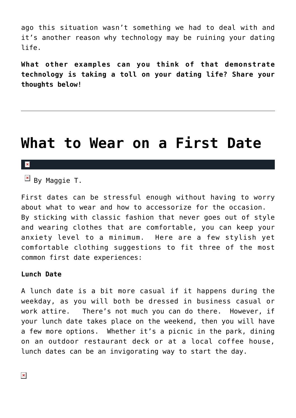ago this situation wasn't something we had to deal with and it's another reason why technology may be ruining your dating life.

**What other examples can you think of that demonstrate technology is taking a toll on your dating life? Share your thoughts below!**

### **[What to Wear on a First Date](https://cupidspulse.com/18199/what-to-wear-first-date-lunch-dinner-formal-fashion/)**

#### $\mathbf{x}$

 $\boxed{\times}$  By Maggie T.

First dates can be stressful enough without having to worry about what to wear and how to accessorize for the occasion. By sticking with classic fashion that never goes out of style and wearing clothes that are comfortable, you can keep your anxiety level to a minimum. Here are a few stylish yet comfortable clothing suggestions to fit three of the most common first date experiences:

#### **Lunch Date**

A lunch date is a bit more casual if it happens during the weekday, as you will both be dressed in business casual or work attire. There's not much you can do there. However, if your lunch date takes place on the weekend, then you will have a few more options. Whether it's a picnic in the park, dining on an outdoor restaurant deck or at a local coffee house, lunch dates can be an invigorating way to start the day.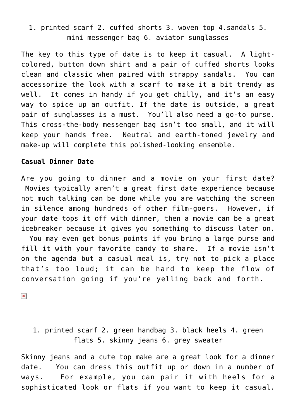### 1. printed scarf 2. cuffed shorts 3. woven top 4.sandals 5. mini messenger bag 6. aviator sunglasses

The key to this type of date is to keep it casual. A lightcolored, button down shirt and a pair of cuffed shorts looks clean and classic when paired with strappy sandals. You can accessorize the look with a scarf to make it a bit trendy as well. It comes in handy if you get chilly, and it's an easy way to spice up an outfit. If the date is outside, a great pair of sunglasses is a must. You'll also need a go-to purse. This cross-the-body messenger bag isn't too small, and it will keep your hands free. Neutral and earth-toned jewelry and make-up will complete this polished-looking ensemble.

#### **Casual Dinner Date**

Are you going to dinner and a movie on your first date? Movies typically aren't a great first date experience because not much talking can be done while you are watching the screen in silence among hundreds of other film-goers. However, if your date tops it off with dinner, then a movie can be a great icebreaker because it gives you something to discuss later on. You may even get bonus points if you bring a large purse and fill it with your favorite candy to share. If a movie isn't on the agenda but a casual meal is, try not to pick a place that's too loud; it can be hard to keep the flow of conversation going if you're yelling back and forth.

 $\pmb{\times}$ 

1. printed scarf 2. green handbag 3. black heels 4. green flats 5. skinny jeans 6. grey sweater

Skinny jeans and a cute top make are a great look for a dinner date. You can dress this outfit up or down in a number of ways. For example, you can pair it with heels for a sophisticated look or flats if you want to keep it casual.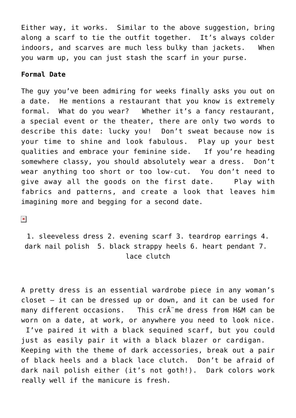Either way, it works. Similar to the above suggestion, bring along a scarf to tie the outfit together. It's always colder indoors, and scarves are much less bulky than jackets. When you warm up, you can just stash the scarf in your purse.

#### **Formal Date**

The guy you've been admiring for weeks finally asks you out on a date. He mentions a restaurant that you know is extremely formal. What do you wear? Whether it's a fancy restaurant, a special event or the theater, there are only two words to describe this date: lucky you! Don't sweat because now is your time to shine and look fabulous. Play up your best qualities and embrace your feminine side. If you're heading somewhere classy, you should absolutely wear a dress. Don't wear anything too short or too low-cut. You don't need to give away all the goods on the first date. Play with fabrics and patterns, and create a look that leaves him imagining more and begging for a second date.

 $\pmb{\times}$ 

1. sleeveless dress 2. evening scarf 3. teardrop earrings 4. dark nail polish 5. black strappy heels 6. heart pendant 7. lace clutch

A pretty dress is an essential wardrobe piece in any woman's closet — it can be dressed up or down, and it can be used for many different occasions. This cr me dress from H&M can be worn on a date, at work, or anywhere you need to look nice.

 I've paired it with a black sequined scarf, but you could just as easily pair it with a black blazer or cardigan. Keeping with the theme of dark accessories, break out a pair of black heels and a black lace clutch. Don't be afraid of dark nail polish either (it's not goth!). Dark colors work really well if the manicure is fresh.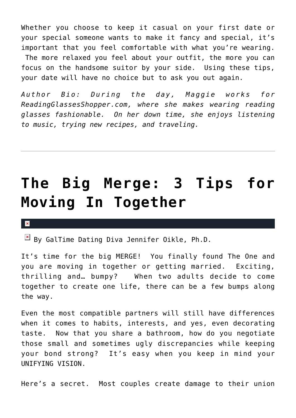Whether you choose to keep it casual on your first date or your special someone wants to make it fancy and special, it's important that you feel comfortable with what you're wearing. The more relaxed you feel about your outfit, the more you can focus on the handsome suitor by your side. Using these tips, your date will have no choice but to ask you out again.

*Author Bio: During the day, Maggie works for ReadingGlassesShopper.com, where she makes wearing reading glasses fashionable. On her down time, she enjoys listening to music, trying new recipes, and traveling.*

# **[The Big Merge: 3 Tips for](https://cupidspulse.com/17833/tips-moving-in-together/) [Moving In Together](https://cupidspulse.com/17833/tips-moving-in-together/)**

 $\mathbb{F}$  By GalTime Dating Diva Jennifer Oikle, Ph.D.

It's time for the big MERGE! You finally found The One and you are moving in together or getting married. Exciting, thrilling and… bumpy? When two adults decide to come together to create one life, there can be a few bumps along the way.

Even the most compatible partners will still have differences when it comes to habits, interests, and yes, even decorating taste. Now that you share a bathroom, how do you negotiate those small and sometimes ugly discrepancies while keeping your bond strong? It's easy when you keep in mind your UNIFYING VISION.

Here's a secret. Most couples create damage to their union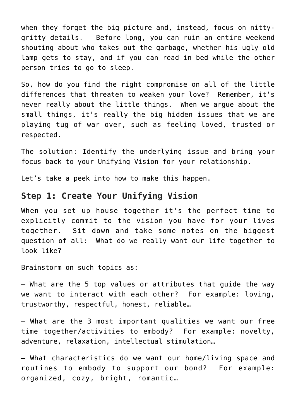when they forget the big picture and, instead, focus on nittygritty details. Before long, you can ruin an entire weekend shouting about who takes out the garbage, whether his ugly old lamp gets to stay, and if you can read in bed while the other person tries to go to sleep.

So, how do you find the right compromise on all of the little differences that threaten to weaken your love? Remember, it's never really about the little things. When we argue about the small things, it's really the big hidden issues that we are playing tug of war over, such as feeling loved, trusted or respected.

The solution: Identify the underlying issue and bring your focus back to your Unifying Vision for your relationship.

Let's take a peek into how to make this happen.

### **Step 1: Create Your Unifying Vision**

When you set up house together it's the perfect time to explicitly commit to the vision you have for your lives together. Sit down and take some notes on the biggest question of all: What do we really want our life together to look like?

Brainstorm on such topics as:

– What are the 5 top values or attributes that guide the way we want to interact with each other? For example: loving, trustworthy, respectful, honest, reliable…

– What are the 3 most important qualities we want our free time together/activities to embody? For example: novelty, adventure, relaxation, intellectual stimulation…

– What characteristics do we want our home/living space and routines to embody to support our bond? For example: organized, cozy, bright, romantic…